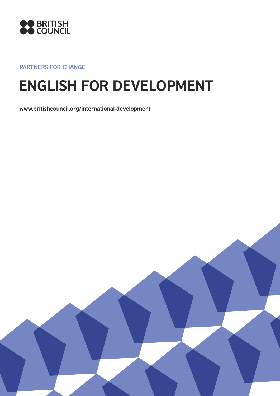

**Partners for change**

# **ENGLISH for development**

**www.britishcouncil.org/international-development**

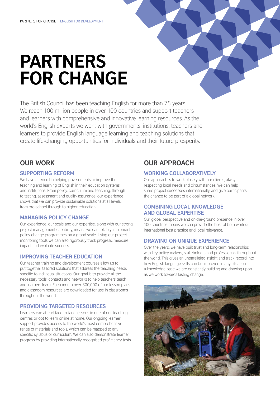# **Partners for change**

The British Council has been teaching English for more than 75 years. We reach 100 million people in over 100 countries and support teachers and learners with comprehensive and innovative learning resources. As the world's English experts we work with governments, institutions, teachers and learners to provide English language learning and teaching solutions that create life-changing opportunities for individuals and their future prosperity.

# **Our work**

# **Supporting reform**

We have a record in helping governments to improve the teaching and learning of English in their education systems and institutions. From policy, curriculum and teaching, through to testing, assessment and quality assurance, our experience shows that we can provide sustainable solutions at all levels, from pre-school through to higher education.

# **Managing policy change**

Our experience, our scale and our expertise, along with our strong project management capability, means we can reliably implement policy change programmes on a grand scale. Using our project monitoring tools we can also rigorously track progress, measure impact and evaluate success.

# **Improving teacher education**

Our teacher training and development courses allow us to put together tailored solutions that address the teaching needs specific to individual situations. Our goal is to provide all the necessary tools, contacts and networks to help teachers teach and learners learn. Each month over 300,000 of our lesson plans and classroom resources are downloaded for use in classrooms throughout the world.

# **Providing targeted resources**

Learners can attend face-to-face lessons in one of our teaching centres or opt to learn online at home. Our ongoing learner support provides access to the world's most comprehensive range of materials and tools, which can be mapped to any specific syllabus or curriculum. We can also demonstrate learner progress by providing internationally recognised proficiency tests.

# **Our approach**

# **Working collaboratively**

Our approach is to work closely with our clients, always respecting local needs and circumstances. We can help share project successes internationally, and give participants the chance to be part of a global network.

# **Combining local knowledge and global expertise**

Our global perspective and on-the-ground presence in over 100 countries means we can provide the best of both worlds: international best practice and local relevance.

# **Drawing on unique experience**

Over the years, we have built trust and long-term relationships with key policy makers, stakeholders and professionals throughout the world. This gives an unparalleled insight and track record into how English language skills can be improved in any situation – a knowledge base we are constantly building and drawing upon as we work towards lasting change.

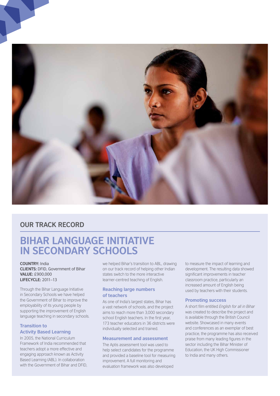

# **OUR TRACK RECORD**

# **Bihar Language Initiative in Secondary Schools**

#### **COUNTRY: India clients:** DFID, Government of Bihar **Value:** £900,000 **Lifecycle:** 2011–13

Through the Bihar Language Initiative in Secondary Schools we have helped the Government of Bihar to improve the employability of its young people by supporting the improvement of English language teaching in secondary schools.

# **Transition to**

# **Activity Based Learning**

In 2005, the National Curriculum Framework of India recommended that teachers adopt a more effective and engaging approach known as Activity Based Learning (ABL). In collaboration with the Government of Bihar and DFID, we helped Bihar's transition to ABL, drawing on our track record of helping other Indian states switch to the more interactive learner-centred teaching of English.

## **Reaching large numbers of teachers**

As one of India's largest states, Bihar has a vast network of schools, and the project aims to reach more than 3,000 secondary school English teachers. In the first year, 173 teacher educators in 36 districts were individually selected and trained.

### **Measurement and assessment**

The Aptis assessment tool was used to help select candidates for the programme and provided a baseline tool for measuring improvement. A full monitoring and evaluation framework was also developed

to measure the impact of learning and development. The resulting data showed significant improvements in teacher classroom practice, particularly an increased amount of English being used by teachers with their students.

### **Promoting success**

A short film entitled *English for all in Bihar*  was created to describe the project and is available through the British Council website. Showcased in many events and conferences as an exemplar of best practice, the programme has also received praise from many leading figures in the sector including the Bihar Minister of Education, the UK High Commissioner to India and many others.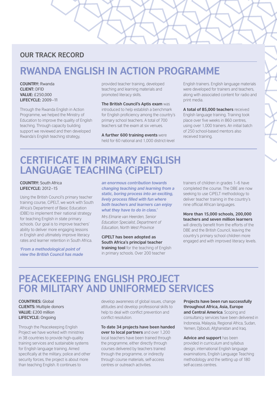# **OUR TRACK RECORD**

# **Rwanda English in Action Programme**

COUNTRY<sup></sup> Rwanda **Client:** DFID **Value:** £250,000 **Lifecycle:** 2009–11

Through the Rwanda English in Action Programme, we helped the Ministry of Education to improve the quality of English teaching. Through capacity building support we reviewed and then developed Rwanda's English teaching strategy,

provided teacher training, developed teaching and learning materials and promoted literacy skills.

**The British Council's Aptis exam** was introduced to help establish a benchmark for English proficiency among the country's primary school teachers. A total of 700 teachers sat the exam at six venues.

**A further 600 training events** were held for 60 national and 1,000 district-level

English trainers. English language materials were developed for trainers and teachers, along with associated content for radio and print media.

**A total of 85,000 teachers** received English language training. Training took place over five weeks in 860 centres, using over 1,000 trainers. An initial batch of 250 school-based mentors also received training.

# **Certificate in primary english language teaching (cipelt)**

## **Country:** South Africa **Lifecycle:** 2012–15

Using the British Council's primary teacher training course, CiPELT, we work with South Africa's Department of Basic Education (DBE) to implement their national strategy for teaching English in state primary schools. Our goal is to improve teachers' ability to deliver more engaging lessons in English and ultimately improve literacy rates and learner retention in South Africa.

*'From a methodological point of view the British Council has made*  *an enormous contribution towards changing teaching and learning from a static, boring process into an exciting, lively process filled with fun where both teachers and learners can enjoy what they have to do in class.'*

*Mrs Elmarie van Heerden, Senior Education Specialist, Department of Education, North West Province*

**CiPELT has been adopted as South Africa's principal teacher training tool** for the teaching of English in primary schools. Over 200 teacher

trainers of children in grades 1–6 have completed the course. The DBE are now seeking to use CiPELT methodology to deliver teacher training in the country's nine official African languages.

**More than 15,000 schools, 200,000 teachers and seven million learners** will directly benefit from the efforts of the DBE and the British Council, leaving the country's primary school children more engaged and with improved literacy levels.

# **Peacekeeping English Project for Military and Uniformed Services**

**COUNTRIES: Global ClientS:** Multiple donors **Value:** £200 million **Lifecycle:** Ongoing

Through the Peacekeeping English Project we have worked with ministries in 38 countries to provide high-quality training services and sustainable systems for English language training. Aimed specifically at the military, police and other security forces, the project is about more than teaching English. It continues to

develop awareness of global issues, change attitudes and develop professional skills to help to deal with conflict prevention and conflict resolution.

**To date 34 projects have been handed over to local partners** and over 1,200 local teachers have been trained through the programme, either directly through courses delivered by teachers trained through the programme, or indirectly through course materials, self-access centres or outreach activities.

**Projects have been run successfully throughout Africa, Asia, Europe** 

**and Central America**. Scoping and consultancy services have been delivered in Indonesia, Malaysia, Regional Africa, Sudan, Yemen, Djibouti, Afghanistan and Iraq.

**Advice and support** has been provided in curriculum and syllabus design, international English language examinations, English Language Teaching methodology and the setting up of 180 self-access centres.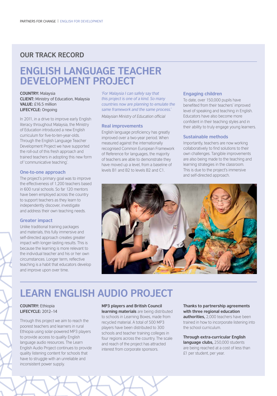# **OUR TRACK RECORD**

# **English Language Teacher Development Project**

**Country:** Malaysia **Client:** Ministry of Education, Malaysia **Value:** £16.5 million **Lifecycle:** Ongoing

In 2011, in a drive to improve early English literacy throughout Malaysia, the Ministry of Education introduced a new English curriculum for five-to-ten-year-olds. Through the English Language Teacher Development Project we have supported the roll-out of this fresh approach and trained teachers in adopting this new form of 'communicative teaching'.

#### **One-to-one approach**

The project's primary goal was to improve the effectiveness of 1,200 teachers based in 600 rural schools. So far 120 mentors have been employed across the country to support teachers as they learn to independently discover, investigate and address their own teaching needs.

#### **Greater impact**

Unlike traditional training packages and materials, this fully immersive and self-directed approach creates greater impact with longer-lasting results. This is because the learning is more relevant to the individual teacher and his or her own circumstances. Longer term, reflective teaching is a habit that educators develop and improve upon over time.

*'For Malaysia I can safely say that this project is one of a kind. So many countries now are planning to emulate the same framework and the same process.' Malaysian Ministry of Education official*

## **Real improvements**

English language proficiency has greatly improved over a two-year period. When measured against the internationally recognised Common European Framework of Reference for languages, the majority of teachers are able to demonstrate they have moved up a level, from a baseline of levels B1 and B2 to levels B2 and C1.

#### **Engaging children**

To date, over 150,000 pupils have benefited from their teachers' improved level of speaking and teaching in English. Educators have also become more confident in their teaching styles and in their ability to truly engage young learners.

#### **Sustainable methods**

Importantly, teachers are now working collaboratively to find solutions to their own challenges. Tangible improvements are also being made to the teaching and learning strategies in the classroom. This is due to the project's immersive and self-directed approach.



# **LEARN ENGLISH AUDIO PROJECT**

#### **Country:** Ethiopia **Lifecycle:** 2012–14

Through this project we aim to reach the poorest teachers and learners in rural Ethiopia using solar-powered MP3 players to provide access to quality English language audio resources. The Learn English Audio Project continues to provide quality listening content for schools that have to struggle with an unreliable and inconsistent power supply.

#### **MP3 players and British Council**

**learning materials** are being distributed to schools in Learning Boxes, made from recycled material. A total of 500 MP3 players have been distributed to 300 schools and teacher training colleges in four regions across the country. The scale and reach of the project has attracted interest from corporate sponsors.

**Thanks to partnership agreements with three regional education authorities,** 2,000 teachers have been trained in how to incorporate listening into the school curriculum.

#### **Through extra-curricular English language clubs,** 250,000 students are being reached at a cost of less than £1 per student, per year.